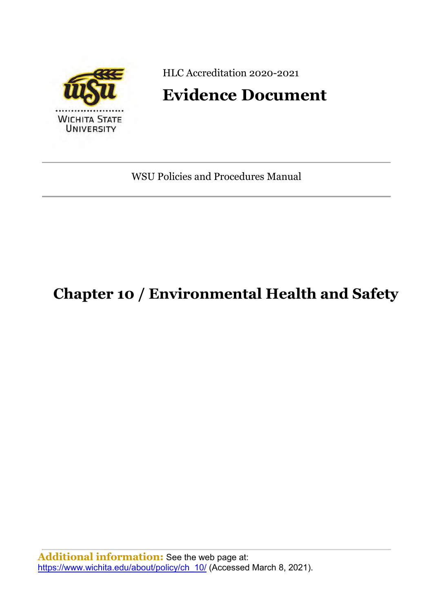

HLC Accreditation 2020-2021

# **Evidence Document**

WSU Policies and Procedures Manual

# **Chapter 10 / Environmental Health and Safety**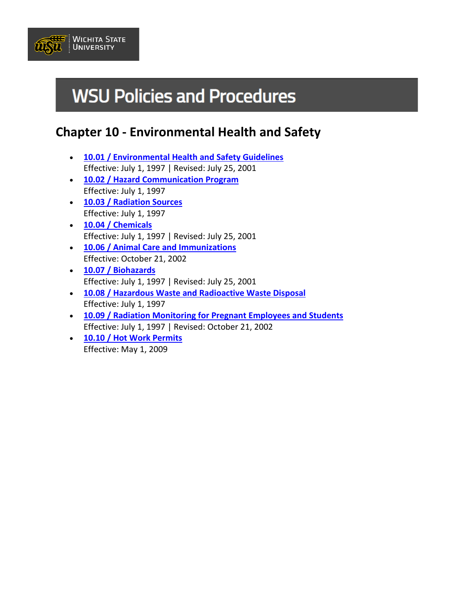

# **WSU Policies and Procedures**

## **Chapter 10 - Environmental Health and Safety**

- **[10.01 / Environmental Health and Safety Guidelines](https://www.wichita.edu/about/policy/ch_10/ch10_01.php)** Effective: July 1, 1997 | Revised: July 25, 2001
- **[10.02 / Hazard Communication Program](https://www.wichita.edu/about/policy/ch_10/ch10_02.php)** Effective: July 1, 1997
- **[10.03 / Radiation Sources](https://www.wichita.edu/about/policy/ch_10/ch10_03.php)** Effective: July 1, 1997
- **[10.04 / Chemicals](https://www.wichita.edu/about/policy/ch_10/ch10_04.php)** Effective: July 1, 1997 | Revised: July 25, 2001
- **[10.06 / Animal Care and Immunizations](https://www.wichita.edu/about/policy/ch_10/ch10_06.php)** Effective: October 21, 2002
- **[10.07 / Biohazards](https://www.wichita.edu/about/policy/ch_10/ch10_07.php)** Effective: July 1, 1997 | Revised: July 25, 2001
- **[10.08 / Hazardous Waste and Radioactive Waste Disposal](https://www.wichita.edu/about/policy/ch_10/ch10_08.php)** Effective: July 1, 1997
- **[10.09 / Radiation Monitoring for Pregnant Employees and Students](https://www.wichita.edu/about/policy/ch_10/ch10_09.php)** Effective: July 1, 1997 | Revised: October 21, 2002
- **[10.10 / Hot Work Permits](https://www.wichita.edu/about/policy/ch_10/ch10_10.php)** Effective: May 1, 2009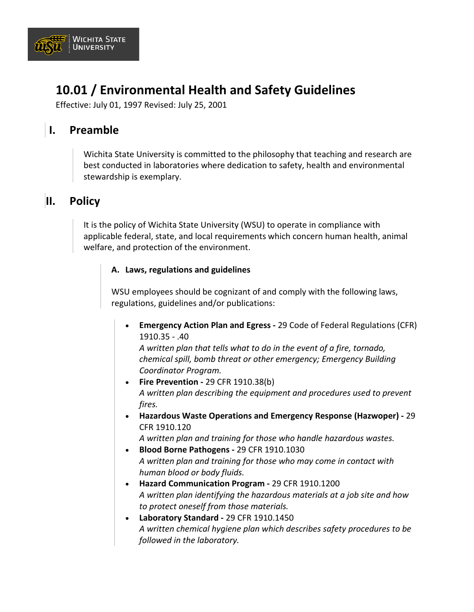

## **10.01 / Environmental Health and Safety Guidelines**

Effective: July 01, 1997 Revised: July 25, 2001

## **I. Preamble**

Wichita State University is committed to the philosophy that teaching and research are best conducted in laboratories where dedication to safety, health and environmental stewardship is exemplary.

## **II. Policy**

It is the policy of Wichita State University (WSU) to operate in compliance with applicable federal, state, and local requirements which concern human health, animal welfare, and protection of the environment.

#### **A. Laws, regulations and guidelines**

WSU employees should be cognizant of and comply with the following laws, regulations, guidelines and/or publications:

• **Emergency Action Plan and Egress -** 29 Code of Federal Regulations (CFR) 1910.35 - .40

*A written plan that tells what to do in the event of a fire, tornado, chemical spill, bomb threat or other emergency; Emergency Building Coordinator Program.*

- **Fire Prevention -** 29 CFR 1910.38(b) *A written plan describing the equipment and procedures used to prevent fires.*
- **Hazardous Waste Operations and Emergency Response (Hazwoper) -** 29 CFR 1910.120

*A written plan and training for those who handle hazardous wastes.*

- **Blood Borne Pathogens -** 29 CFR 1910.1030 *A written plan and training for those who may come in contact with human blood or body fluids.*
- **Hazard Communication Program -** 29 CFR 1910.1200 *A written plan identifying the hazardous materials at a job site and how to protect oneself from those materials.*
- **Laboratory Standard -** 29 CFR 1910.1450 *A written chemical hygiene plan which describes safety procedures to be followed in the laboratory.*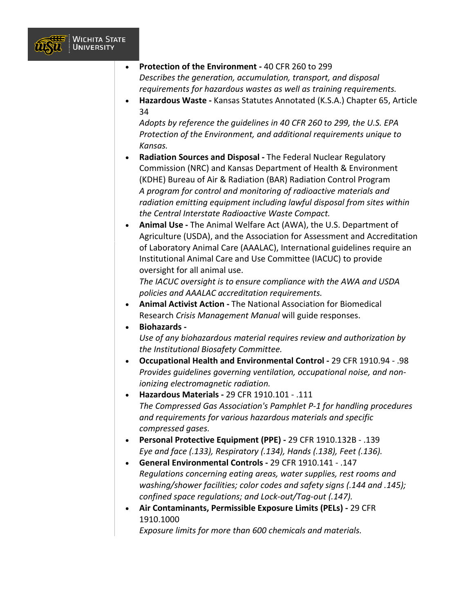

- **Protection of the Environment -** 40 CFR 260 to 299 *Describes the generation, accumulation, transport, and disposal requirements for hazardous wastes as well as training requirements.*
- **Hazardous Waste -** Kansas Statutes Annotated (K.S.A.) Chapter 65, Article 34

*Adopts by reference the guidelines in 40 CFR 260 to 299, the U.S. EPA Protection of the Environment, and additional requirements unique to Kansas.*

- **Radiation Sources and Disposal -** The Federal Nuclear Regulatory Commission (NRC) and Kansas Department of Health & Environment (KDHE) Bureau of Air & Radiation (BAR) Radiation Control Program *A program for control and monitoring of radioactive materials and radiation emitting equipment including lawful disposal from sites within the Central Interstate Radioactive Waste Compact.*
- **Animal Use -** The Animal Welfare Act (AWA), the U.S. Department of Agriculture (USDA), and the Association for Assessment and Accreditation of Laboratory Animal Care (AAALAC), International guidelines require an Institutional Animal Care and Use Committee (IACUC) to provide oversight for all animal use.

*The IACUC oversight is to ensure compliance with the AWA and USDA policies and AAALAC accreditation requirements.*

- **Animal Activist Action -** The National Association for Biomedical Research *Crisis Management Manual* will guide responses.
- **Biohazards -**

*Use of any biohazardous material requires review and authorization by the Institutional Biosafety Committee.*

- **Occupational Health and Environmental Control -** 29 CFR 1910.94 .98 *Provides guidelines governing ventilation, occupational noise, and nonionizing electromagnetic radiation.*
- **Hazardous Materials -** 29 CFR 1910.101 .111 *The Compressed Gas Association's Pamphlet P-1 for handling procedures and requirements for various hazardous materials and specific compressed gases.*
- **Personal Protective Equipment (PPE) -** 29 CFR 1910.132B .139 *Eye and face (.133), Respiratory (.134), Hands (.138), Feet (.136).*
- **General Environmental Controls -** 29 CFR 1910.141 .147 *Regulations concerning eating areas, water supplies, rest rooms and washing/shower facilities; color codes and safety signs (.144 and .145); confined space regulations; and Lock-out/Tag-out (.147).*
- **Air Contaminants, Permissible Exposure Limits (PELs) -** 29 CFR 1910.1000

*Exposure limits for more than 600 chemicals and materials.*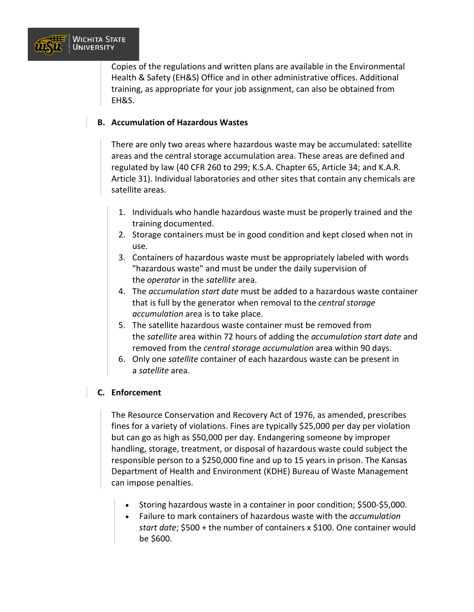

Copies of the regulations and written plans are available in the Environmental Health & Safety (EH&S) Office and in other administrative offices. Additional training, as appropriate for your job assignment, can also be obtained from EH&S.

#### **B. Accumulation of Hazardous Wastes**

There are only two areas where hazardous waste may be accumulated: satellite areas and the central storage accumulation area. These areas are defined and regulated by law (40 CFR 260 to 299; K.S.A. Chapter 65, Article 34; and K.A.R. Article 31). Individual laboratories and other sites that contain any chemicals are satellite areas.

- 1. Individuals who handle hazardous waste must be properly trained and the training documented.
- 2. Storage containers must be in good condition and kept closed when not in use.
- 3. Containers of hazardous waste must be appropriately labeled with words "hazardous waste" and must be under the daily supervision of the *operator* in the *satellite* area.
- 4. The *accumulation start date* must be added to a hazardous waste container that is full by the generator when removal to the *central storage accumulation* area is to take place.
- 5. The satellite hazardous waste container must be removed from the *satellite* area within 72 hours of adding the *accumulation start date* and removed from the *central storage accumulation* area within 90 days.
- 6. Only one *satellite* container of each hazardous waste can be present in a *satellite* area.

#### **C. Enforcement**

The Resource Conservation and Recovery Act of 1976, as amended, prescribes fines for a variety of violations. Fines are typically \$25,000 per day per violation but can go as high as \$50,000 per day. Endangering someone by improper handling, storage, treatment, or disposal of hazardous waste could subject the responsible person to a \$250,000 fine and up to 15 years in prison. The Kansas Department of Health and Environment (KDHE) Bureau of Waste Management can impose penalties.

- Storing hazardous waste in a container in poor condition; \$500-\$5,000.
- Failure to mark containers of hazardous waste with the *accumulation start date*; \$500 + the number of containers x \$100. One container would be \$600.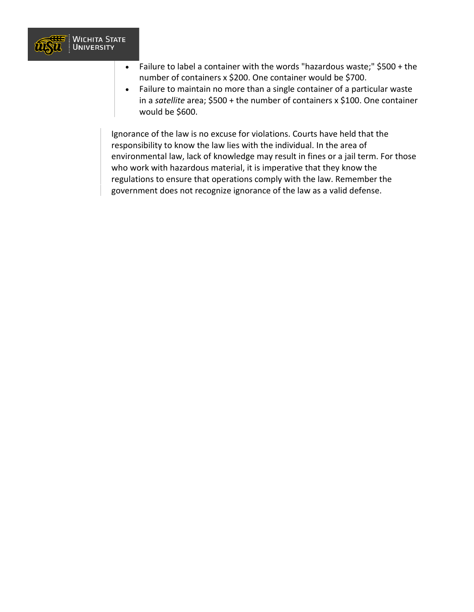

- Failure to label a container with the words "hazardous waste;" \$500 + the number of containers x \$200. One container would be \$700.
- Failure to maintain no more than a single container of a particular waste in a *satellite* area; \$500 + the number of containers x \$100. One container would be \$600.

Ignorance of the law is no excuse for violations. Courts have held that the responsibility to know the law lies with the individual. In the area of environmental law, lack of knowledge may result in fines or a jail term. For those who work with hazardous material, it is imperative that they know the regulations to ensure that operations comply with the law. Remember the government does not recognize ignorance of the law as a valid defense.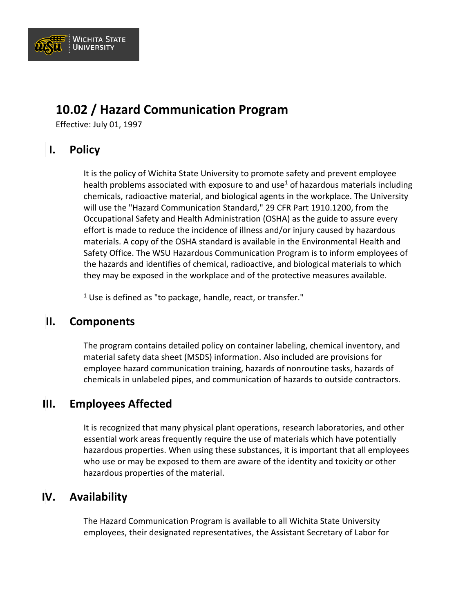

## **10.02 / Hazard Communication Program**

Effective: July 01, 1997

## **I. Policy**

It is the policy of Wichita State University to promote safety and prevent employee health problems associated with exposure to and use<sup>1</sup> of hazardous materials including chemicals, radioactive material, and biological agents in the workplace. The University will use the "Hazard Communication Standard," 29 CFR Part 1910.1200, from the Occupational Safety and Health Administration (OSHA) as the guide to assure every effort is made to reduce the incidence of illness and/or injury caused by hazardous materials. A copy of the OSHA standard is available in the Environmental Health and Safety Office. The WSU Hazardous Communication Program is to inform employees of the hazards and identifies of chemical, radioactive, and biological materials to which they may be exposed in the workplace and of the protective measures available.

 $1$  Use is defined as "to package, handle, react, or transfer."

## **II. Components**

The program contains detailed policy on container labeling, chemical inventory, and material safety data sheet (MSDS) information. Also included are provisions for employee hazard communication training, hazards of nonroutine tasks, hazards of chemicals in unlabeled pipes, and communication of hazards to outside contractors.

## **III. Employees Affected**

It is recognized that many physical plant operations, research laboratories, and other essential work areas frequently require the use of materials which have potentially hazardous properties. When using these substances, it is important that all employees who use or may be exposed to them are aware of the identity and toxicity or other hazardous properties of the material.

## **IV. Availability**

The Hazard Communication Program is available to all Wichita State University employees, their designated representatives, the Assistant Secretary of Labor for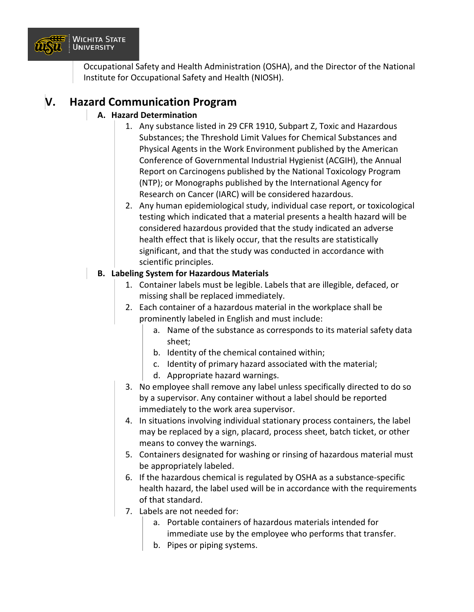

Occupational Safety and Health Administration (OSHA), and the Director of the National Institute for Occupational Safety and Health (NIOSH).

## **V. Hazard Communication Program**

#### **A. Hazard Determination**

- 1. Any substance listed in 29 CFR 1910, Subpart Z, Toxic and Hazardous Substances; the Threshold Limit Values for Chemical Substances and Physical Agents in the Work Environment published by the American Conference of Governmental Industrial Hygienist (ACGIH), the Annual Report on Carcinogens published by the National Toxicology Program (NTP); or Monographs published by the International Agency for Research on Cancer (IARC) will be considered hazardous.
- 2. Any human epidemiological study, individual case report, or toxicological testing which indicated that a material presents a health hazard will be considered hazardous provided that the study indicated an adverse health effect that is likely occur, that the results are statistically significant, and that the study was conducted in accordance with scientific principles.

#### **B. Labeling System for Hazardous Materials**

- 1. Container labels must be legible. Labels that are illegible, defaced, or missing shall be replaced immediately.
- 2. Each container of a hazardous material in the workplace shall be prominently labeled in English and must include:
	- a. Name of the substance as corresponds to its material safety data sheet;
	- b. Identity of the chemical contained within;
	- c. Identity of primary hazard associated with the material;
	- d. Appropriate hazard warnings.
- 3. No employee shall remove any label unless specifically directed to do so by a supervisor. Any container without a label should be reported immediately to the work area supervisor.
- 4. In situations involving individual stationary process containers, the label may be replaced by a sign, placard, process sheet, batch ticket, or other means to convey the warnings.
- 5. Containers designated for washing or rinsing of hazardous material must be appropriately labeled.
- 6. If the hazardous chemical is regulated by OSHA as a substance-specific health hazard, the label used will be in accordance with the requirements of that standard.
- 7. Labels are not needed for:
	- a. Portable containers of hazardous materials intended for immediate use by the employee who performs that transfer.
	- b. Pipes or piping systems.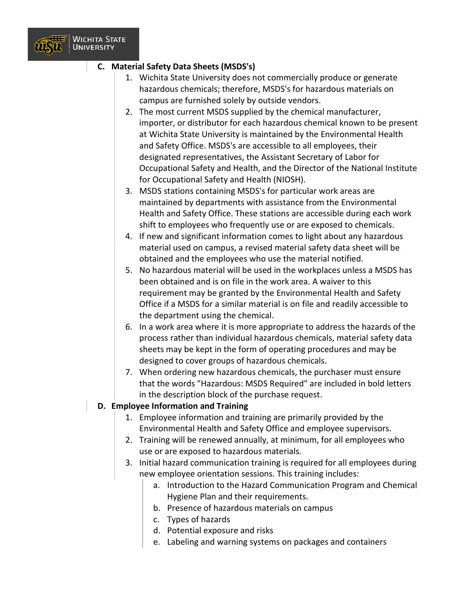

#### **C. Material Safety Data Sheets (MSDS's)**

- 1. Wichita State University does not commercially produce or generate hazardous chemicals; therefore, MSDS's for hazardous materials on campus are furnished solely by outside vendors.
- 2. The most current MSDS supplied by the chemical manufacturer, importer, or distributor for each hazardous chemical known to be present at Wichita State University is maintained by the Environmental Health and Safety Office. MSDS's are accessible to all employees, their designated representatives, the Assistant Secretary of Labor for Occupational Safety and Health, and the Director of the National Institute for Occupational Safety and Health (NIOSH).
- 3. MSDS stations containing MSDS's for particular work areas are maintained by departments with assistance from the Environmental Health and Safety Office. These stations are accessible during each work shift to employees who frequently use or are exposed to chemicals.
- 4. If new and significant information comes to light about any hazardous material used on campus, a revised material safety data sheet will be obtained and the employees who use the material notified.
- 5. No hazardous material will be used in the workplaces unless a MSDS has been obtained and is on file in the work area. A waiver to this requirement may be granted by the Environmental Health and Safety Office if a MSDS for a similar material is on file and readily accessible to the department using the chemical.
- 6. In a work area where it is more appropriate to address the hazards of the process rather than individual hazardous chemicals, material safety data sheets may be kept in the form of operating procedures and may be designed to cover groups of hazardous chemicals.
- 7. When ordering new hazardous chemicals, the purchaser must ensure that the words "Hazardous: MSDS Required" are included in bold letters in the description block of the purchase request.

#### **D. Employee Information and Training**

- 1. Employee information and training are primarily provided by the Environmental Health and Safety Office and employee supervisors.
- 2. Training will be renewed annually, at minimum, for all employees who use or are exposed to hazardous materials.
- 3. Initial hazard communication training is required for all employees during new employee orientation sessions. This training includes:
	- a. Introduction to the Hazard Communication Program and Chemical Hygiene Plan and their requirements.
	- b. Presence of hazardous materials on campus
	- c. Types of hazards
	- d. Potential exposure and risks
	- e. Labeling and warning systems on packages and containers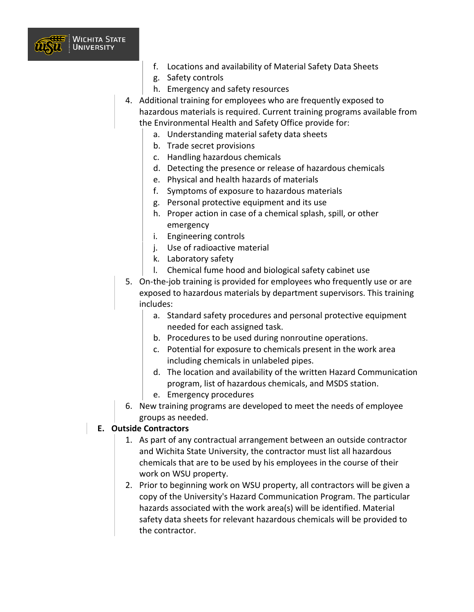

- f. Locations and availability of Material Safety Data Sheets
- g. Safety controls
- h. Emergency and safety resources
- 4. Additional training for employees who are frequently exposed to hazardous materials is required. Current training programs available from the Environmental Health and Safety Office provide for:
	- a. Understanding material safety data sheets
	- b. Trade secret provisions
	- c. Handling hazardous chemicals
	- d. Detecting the presence or release of hazardous chemicals
	- e. Physical and health hazards of materials
	- f. Symptoms of exposure to hazardous materials
	- g. Personal protective equipment and its use
	- h. Proper action in case of a chemical splash, spill, or other emergency
	- i. Engineering controls
	- j. Use of radioactive material
	- k. Laboratory safety
	- l. Chemical fume hood and biological safety cabinet use
- 5. On-the-job training is provided for employees who frequently use or are exposed to hazardous materials by department supervisors. This training includes:
	- a. Standard safety procedures and personal protective equipment needed for each assigned task.
	- b. Procedures to be used during nonroutine operations.
	- c. Potential for exposure to chemicals present in the work area including chemicals in unlabeled pipes.
	- d. The location and availability of the written Hazard Communication program, list of hazardous chemicals, and MSDS station.
	- e. Emergency procedures
- 6. New training programs are developed to meet the needs of employee groups as needed.

#### **E. Outside Contractors**

- 1. As part of any contractual arrangement between an outside contractor and Wichita State University, the contractor must list all hazardous chemicals that are to be used by his employees in the course of their work on WSU property.
- 2. Prior to beginning work on WSU property, all contractors will be given a copy of the University's Hazard Communication Program. The particular hazards associated with the work area(s) will be identified. Material safety data sheets for relevant hazardous chemicals will be provided to the contractor.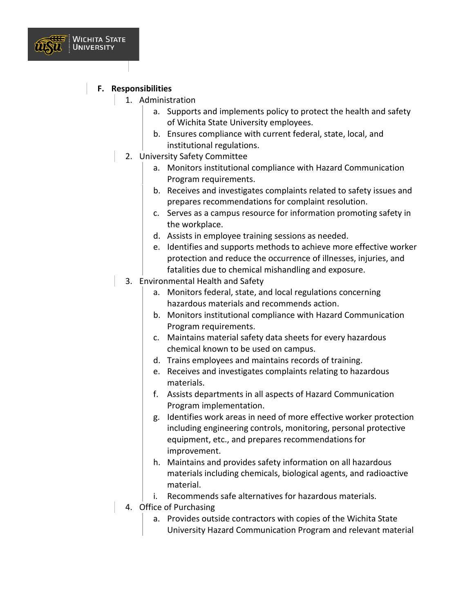

#### **F. Responsibilities**

- 1. Administration
	- a. Supports and implements policy to protect the health and safety of Wichita State University employees.
	- b. Ensures compliance with current federal, state, local, and institutional regulations.
	- 2. University Safety Committee
		- a. Monitors institutional compliance with Hazard Communication Program requirements.
		- b. Receives and investigates complaints related to safety issues and prepares recommendations for complaint resolution.
		- c. Serves as a campus resource for information promoting safety in the workplace.
		- d. Assists in employee training sessions as needed.
		- e. Identifies and supports methods to achieve more effective worker protection and reduce the occurrence of illnesses, injuries, and fatalities due to chemical mishandling and exposure.
	- 3. Environmental Health and Safety
		- a. Monitors federal, state, and local regulations concerning hazardous materials and recommends action.
		- b. Monitors institutional compliance with Hazard Communication Program requirements.
		- c. Maintains material safety data sheets for every hazardous chemical known to be used on campus.
		- d. Trains employees and maintains records of training.
		- e. Receives and investigates complaints relating to hazardous materials.
		- f. Assists departments in all aspects of Hazard Communication Program implementation.
		- g. Identifies work areas in need of more effective worker protection including engineering controls, monitoring, personal protective equipment, etc., and prepares recommendations for improvement.
		- h. Maintains and provides safety information on all hazardous materials including chemicals, biological agents, and radioactive material.
		- i. Recommends safe alternatives for hazardous materials.
	- 4. Office of Purchasing
		- a. Provides outside contractors with copies of the Wichita State University Hazard Communication Program and relevant material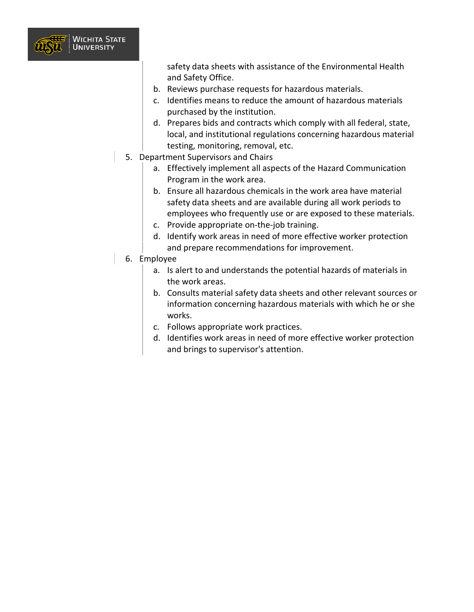

safety data sheets with assistance of the Environmental Health and Safety Office.

- b. Reviews purchase requests for hazardous materials.
- c. Identifies means to reduce the amount of hazardous materials purchased by the institution.
- d. Prepares bids and contracts which comply with all federal, state, local, and institutional regulations concerning hazardous material testing, monitoring, removal, etc.
- 5. Department Supervisors and Chairs
	- a. Effectively implement all aspects of the Hazard Communication Program in the work area.
	- b. Ensure all hazardous chemicals in the work area have material safety data sheets and are available during all work periods to employees who frequently use or are exposed to these materials.
	- c. Provide appropriate on-the-job training.
	- d. Identify work areas in need of more effective worker protection and prepare recommendations for improvement.
- 6. Employee
	- a. Is alert to and understands the potential hazards of materials in the work areas.
	- b. Consults material safety data sheets and other relevant sources or information concerning hazardous materials with which he or she works.
	- c. Follows appropriate work practices.
	- d. Identifies work areas in need of more effective worker protection and brings to supervisor's attention.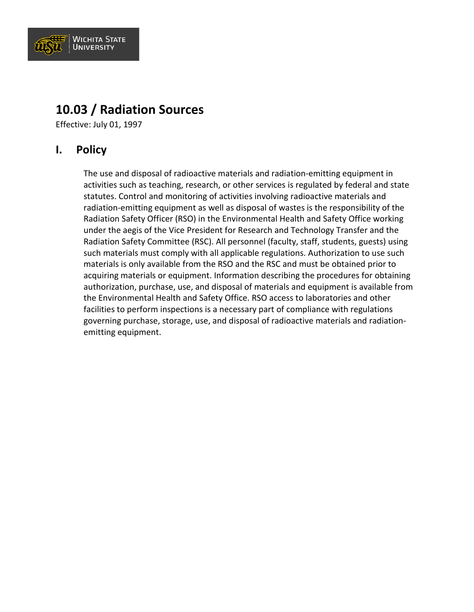

## **10.03 / Radiation Sources**

Effective: July 01, 1997

## **I. Policy**

The use and disposal of radioactive materials and radiation-emitting equipment in activities such as teaching, research, or other services is regulated by federal and state statutes. Control and monitoring of activities involving radioactive materials and radiation-emitting equipment as well as disposal of wastes is the responsibility of the Radiation Safety Officer (RSO) in the Environmental Health and Safety Office working under the aegis of the Vice President for Research and Technology Transfer and the Radiation Safety Committee (RSC). All personnel (faculty, staff, students, guests) using such materials must comply with all applicable regulations. Authorization to use such materials is only available from the RSO and the RSC and must be obtained prior to acquiring materials or equipment. Information describing the procedures for obtaining authorization, purchase, use, and disposal of materials and equipment is available from the Environmental Health and Safety Office. RSO access to laboratories and other facilities to perform inspections is a necessary part of compliance with regulations governing purchase, storage, use, and disposal of radioactive materials and radiationemitting equipment.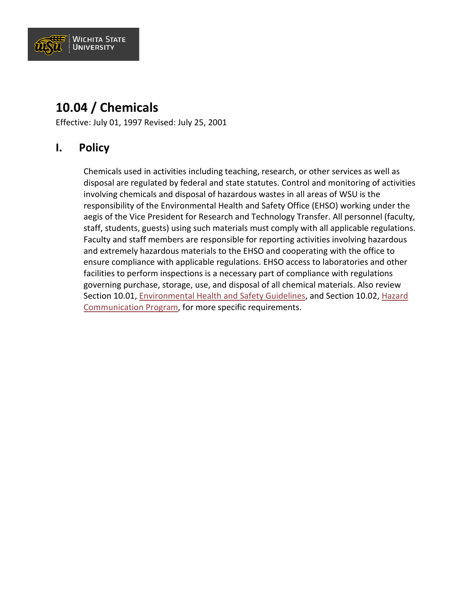

## **10.04 / Chemicals**

Effective: July 01, 1997 Revised: July 25, 2001

## **I. Policy**

Chemicals used in activities including teaching, research, or other services as well as disposal are regulated by federal and state statutes. Control and monitoring of activities involving chemicals and disposal of hazardous wastes in all areas of WSU is the responsibility of the Environmental Health and Safety Office (EHSO) working under the aegis of the Vice President for Research and Technology Transfer. All personnel (faculty, staff, students, guests) using such materials must comply with all applicable regulations. Faculty and staff members are responsible for reporting activities involving hazardous and extremely hazardous materials to the EHSO and cooperating with the office to ensure compliance with applicable regulations. EHSO access to laboratories and other facilities to perform inspections is a necessary part of compliance with regulations governing purchase, storage, use, and disposal of all chemical materials. Also review Section 10.01, [Environmental Health and Safety Guidelines,](https://www.wichita.edu/about/policy/ch10/ch10_01.php) and Section 10.02, [Hazard](https://www.wichita.edu/about/policy/ch10/ch10_02.php)  [Communication Program,](https://www.wichita.edu/about/policy/ch10/ch10_02.php) for more specific requirements.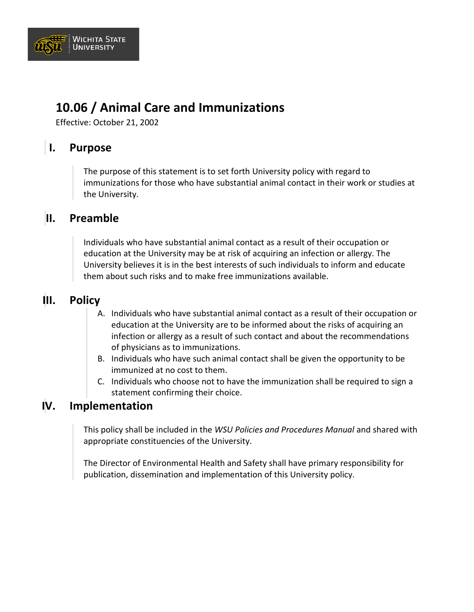

## **10.06 / Animal Care and Immunizations**

Effective: October 21, 2002

## **I. Purpose**

The purpose of this statement is to set forth University policy with regard to immunizations for those who have substantial animal contact in their work or studies at the University.

## **II. Preamble**

Individuals who have substantial animal contact as a result of their occupation or education at the University may be at risk of acquiring an infection or allergy. The University believes it is in the best interests of such individuals to inform and educate them about such risks and to make free immunizations available.

## **III. Policy**

- A. Individuals who have substantial animal contact as a result of their occupation or education at the University are to be informed about the risks of acquiring an infection or allergy as a result of such contact and about the recommendations of physicians as to immunizations.
- B. Individuals who have such animal contact shall be given the opportunity to be immunized at no cost to them.
- C. Individuals who choose not to have the immunization shall be required to sign a statement confirming their choice.

#### **IV. Implementation**

This policy shall be included in the *WSU Policies and Procedures Manual* and shared with appropriate constituencies of the University.

The Director of Environmental Health and Safety shall have primary responsibility for publication, dissemination and implementation of this University policy.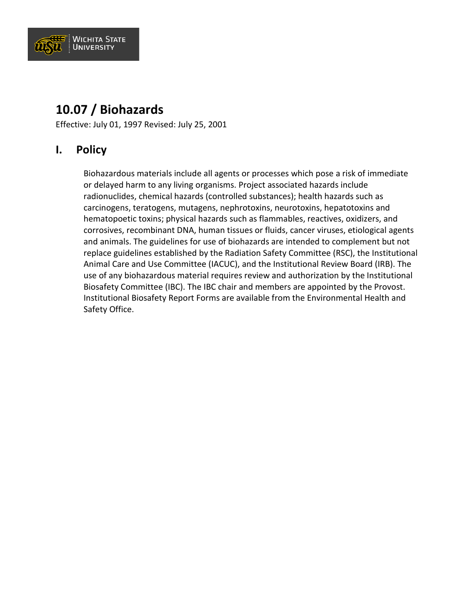

## **10.07 / Biohazards**

Effective: July 01, 1997 Revised: July 25, 2001

## **I. Policy**

Biohazardous materials include all agents or processes which pose a risk of immediate or delayed harm to any living organisms. Project associated hazards include radionuclides, chemical hazards (controlled substances); health hazards such as carcinogens, teratogens, mutagens, nephrotoxins, neurotoxins, hepatotoxins and hematopoetic toxins; physical hazards such as flammables, reactives, oxidizers, and corrosives, recombinant DNA, human tissues or fluids, cancer viruses, etiological agents and animals. The guidelines for use of biohazards are intended to complement but not replace guidelines established by the Radiation Safety Committee (RSC), the Institutional Animal Care and Use Committee (IACUC), and the Institutional Review Board (IRB). The use of any biohazardous material requires review and authorization by the Institutional Biosafety Committee (IBC). The IBC chair and members are appointed by the Provost. Institutional Biosafety Report Forms are available from the Environmental Health and Safety Office.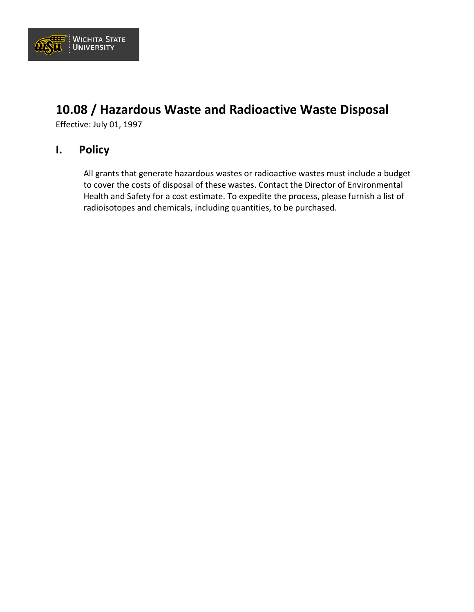

## **10.08 / Hazardous Waste and Radioactive Waste Disposal**

Effective: July 01, 1997

### **I. Policy**

All grants that generate hazardous wastes or radioactive wastes must include a budget to cover the costs of disposal of these wastes. Contact the Director of Environmental Health and Safety for a cost estimate. To expedite the process, please furnish a list of radioisotopes and chemicals, including quantities, to be purchased.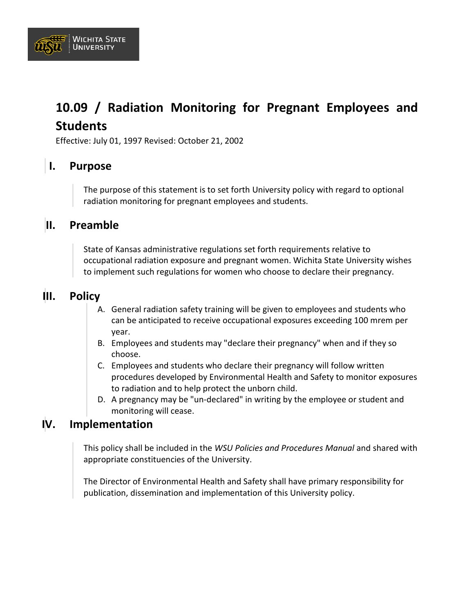

## **10.09 / Radiation Monitoring for Pregnant Employees and Students**

Effective: July 01, 1997 Revised: October 21, 2002

## **I. Purpose**

The purpose of this statement is to set forth University policy with regard to optional radiation monitoring for pregnant employees and students.

### **II. Preamble**

State of Kansas administrative regulations set forth requirements relative to occupational radiation exposure and pregnant women. Wichita State University wishes to implement such regulations for women who choose to declare their pregnancy.

### **III. Policy**

- A. General radiation safety training will be given to employees and students who can be anticipated to receive occupational exposures exceeding 100 mrem per year.
- B. Employees and students may "declare their pregnancy" when and if they so choose.
- C. Employees and students who declare their pregnancy will follow written procedures developed by Environmental Health and Safety to monitor exposures to radiation and to help protect the unborn child.
- D. A pregnancy may be "un-declared" in writing by the employee or student and monitoring will cease.

## **IV. Implementation**

This policy shall be included in the *WSU Policies and Procedures Manual* and shared with appropriate constituencies of the University.

The Director of Environmental Health and Safety shall have primary responsibility for publication, dissemination and implementation of this University policy.